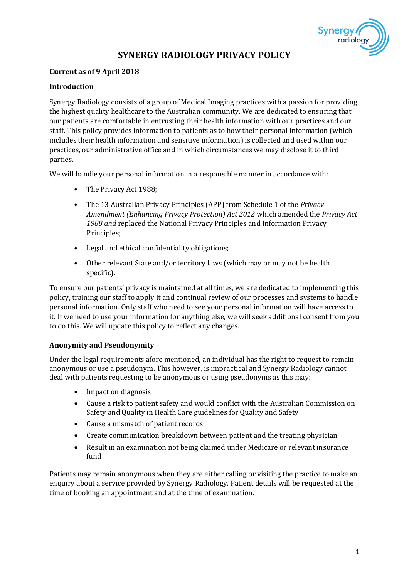

# **SYNERGY RADIOLOGY PRIVACY POLICY**

## **Current as of 9 April 2018**

## **Introduction**

Synergy Radiology consists of a group of Medical Imaging practices with a passion for providing the highest quality healthcare to the Australian community. We are dedicated to ensuring that our patients are comfortable in entrusting their health information with our practices and our staff. This policy provides information to patients as to how their personal information (which includes their health information and sensitive information) is collected and used within our practices, our administrative office and in which circumstances we may disclose it to third parties.

We will handle your personal information in a responsible manner in accordance with:

- The Privacy Act 1988;
- The 13 Australian Privacy Principles (APP) from Schedule 1 of the *Privacy Amendment (Enhancing Privacy Protection) Act 2012* which amended the *Privacy Act 1988 and* replaced the National Privacy Principles and Information Privacy Principles;
- Legal and ethical confidentiality obligations;
- Other relevant State and/or territory laws (which may or may not be health specific).

To ensure our patients' privacy is maintained at all times, we are dedicated to implementing this policy, training our staff to apply it and continual review of our processes and systems to handle personal information. Only staff who need to see your personal information will have access to it. If we need to use your information for anything else, we will seek additional consent from you to do this. We will update this policy to reflect any changes.

### **Anonymity and Pseudonymity**

Under the legal requirements afore mentioned, an individual has the right to request to remain anonymous or use a pseudonym. This however, is impractical and Synergy Radiology cannot deal with patients requesting to be anonymous or using pseudonyms as this may:

- Impact on diagnosis
- Cause a risk to patient safety and would conflict with the Australian Commission on Safety and Quality in Health Care guidelines for Quality and Safety
- Cause a mismatch of patient records
- Create communication breakdown between patient and the treating physician
- Result in an examination not being claimed under Medicare or relevant insurance fund

Patients may remain anonymous when they are either calling or visiting the practice to make an enquiry about a service provided by Synergy Radiology. Patient details will be requested at the time of booking an appointment and at the time of examination.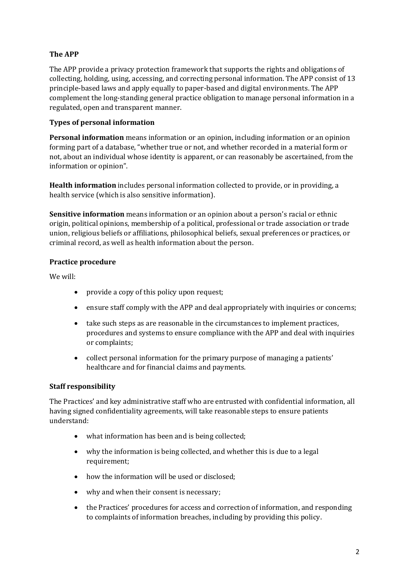# **The APP**

The APP provide a privacy protection framework that supports the rights and obligations of collecting, holding, using, accessing, and correcting personal information. The APP consist of 13 principle-based laws and apply equally to paper-based and digital environments. The APP complement the long-standing general practice obligation to manage personal information in a regulated, open and transparent manner.

# **Types of personal information**

**Personal information** means information or an opinion, including information or an opinion forming part of a database, "whether true or not, and whether recorded in a material form or not, about an individual whose identity is apparent, or can reasonably be ascertained, from the information or opinion".

**Health information** includes personal information collected to provide, or in providing, a health service (which is also sensitive information).

**Sensitive information** means information or an opinion about a person's racial or ethnic origin, political opinions, membership of a political, professional or trade association or trade union, religious beliefs or affiliations, philosophical beliefs, sexual preferences or practices, or criminal record, as well as health information about the person.

# **Practice procedure**

We will:

- provide a copy of this policy upon request;
- ensure staff comply with the APP and deal appropriately with inquiries or concerns;
- take such steps as are reasonable in the circumstances to implement practices, procedures and systems to ensure compliance with the APP and deal with inquiries or complaints;
- collect personal information for the primary purpose of managing a patients' healthcare and for financial claims and payments.

# **Staff responsibility**

The Practices' and key administrative staff who are entrusted with confidential information, all having signed confidentiality agreements, will take reasonable steps to ensure patients understand:

- what information has been and is being collected;
- why the information is being collected, and whether this is due to a legal requirement;
- how the information will be used or disclosed;
- why and when their consent is necessary;
- the Practices' procedures for access and correction of information, and responding to complaints of information breaches, including by providing this policy.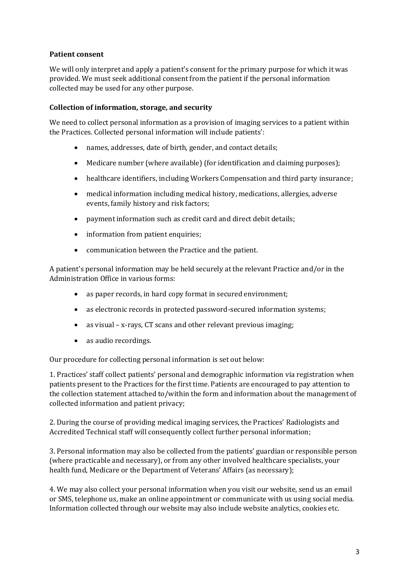# **Patient consent**

We will only interpret and apply a patient's consent for the primary purpose for which it was provided. We must seek additional consent from the patient if the personal information collected may be used for any other purpose.

### **Collection of information, storage, and security**

We need to collect personal information as a provision of imaging services to a patient within the Practices. Collected personal information will include patients':

- names, addresses, date of birth, gender, and contact details;
- Medicare number (where available) (for identification and claiming purposes);
- healthcare identifiers, including Workers Compensation and third party insurance;
- medical information including medical history, medications, allergies, adverse events, family history and risk factors;
- payment information such as credit card and direct debit details;
- information from patient enquiries;
- communication between the Practice and the patient.

A patient's personal information may be held securely at the relevant Practice and/or in the Administration Office in various forms:

- as paper records, in hard copy format in secured environment;
- as electronic records in protected password-secured information systems;
- as visual x-rays, CT scans and other relevant previous imaging;
- as audio recordings.

Our procedure for collecting personal information is set out below:

1. Practices' staff collect patients' personal and demographic information via registration when patients present to the Practices for the first time. Patients are encouraged to pay attention to the collection statement attached to/within the form and information about the management of collected information and patient privacy;

2. During the course of providing medical imaging services, the Practices' Radiologists and Accredited Technical staff will consequently collect further personal information;

3. Personal information may also be collected from the patients' guardian or responsible person (where practicable and necessary), or from any other involved healthcare specialists, your health fund, Medicare or the Department of Veterans' Affairs (as necessary);

4. We may also collect your personal information when you visit our website, send us an email or SMS, telephone us, make an online appointment or communicate with us using social media. Information collected through our website may also include website analytics, cookies etc.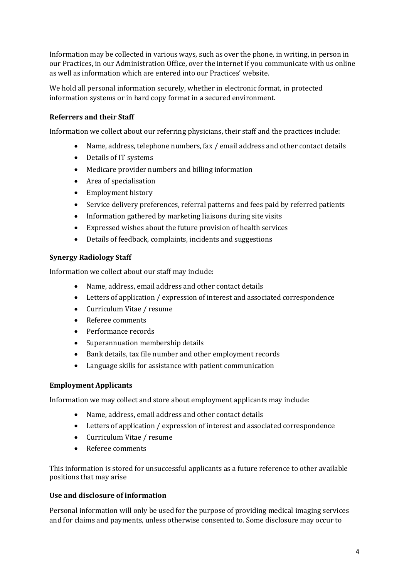Information may be collected in various ways, such as over the phone, in writing, in person in our Practices, in our Administration Office, over the internet if you communicate with us online as well as information which are entered into our Practices' website.

We hold all personal information securely, whether in electronic format, in protected information systems or in hard copy format in a secured environment.

# **Referrers and their Staff**

Information we collect about our referring physicians, their staff and the practices include:

- Name, address, telephone numbers, fax / email address and other contact details
- Details of IT systems
- Medicare provider numbers and billing information
- Area of specialisation
- Employment history
- Service delivery preferences, referral patterns and fees paid by referred patients
- Information gathered by marketing liaisons during site visits
- Expressed wishes about the future provision of health services
- Details of feedback, complaints, incidents and suggestions

## **Synergy Radiology Staff**

Information we collect about our staff may include:

- Name, address, email address and other contact details
- Letters of application / expression of interest and associated correspondence
- Curriculum Vitae / resume
- Referee comments
- Performance records
- Superannuation membership details
- Bank details, tax file number and other employment records
- Language skills for assistance with patient communication

### **Employment Applicants**

Information we may collect and store about employment applicants may include:

- Name, address, email address and other contact details
- Letters of application / expression of interest and associated correspondence
- Curriculum Vitae / resume
- Referee comments

This information is stored for unsuccessful applicants as a future reference to other available positions that may arise

### **Use and disclosure of information**

Personal information will only be used for the purpose of providing medical imaging services and for claims and payments, unless otherwise consented to. Some disclosure may occur to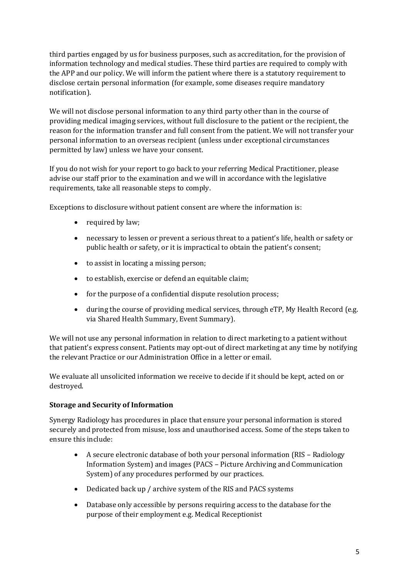third parties engaged by us for business purposes, such as accreditation, for the provision of information technology and medical studies. These third parties are required to comply with the APP and our policy. We will inform the patient where there is a statutory requirement to disclose certain personal information (for example, some diseases require mandatory notification).

We will not disclose personal information to any third party other than in the course of providing medical imaging services, without full disclosure to the patient or the recipient, the reason for the information transfer and full consent from the patient. We will not transfer your personal information to an overseas recipient (unless under exceptional circumstances permitted by law) unless we have your consent.

If you do not wish for your report to go back to your referring Medical Practitioner, please advise our staff prior to the examination and we will in accordance with the legislative requirements, take all reasonable steps to comply.

Exceptions to disclosure without patient consent are where the information is:

- required by law;
- necessary to lessen or prevent a serious threat to a patient's life, health or safety or public health or safety, or it is impractical to obtain the patient's consent;
- to assist in locating a missing person;
- to establish, exercise or defend an equitable claim;
- for the purpose of a confidential dispute resolution process;
- during the course of providing medical services, through eTP, My Health Record (e.g. via Shared Health Summary, Event Summary).

We will not use any personal information in relation to direct marketing to a patient without that patient's express consent. Patients may opt-out of direct marketing at any time by notifying the relevant Practice or our Administration Office in a letter or email.

We evaluate all unsolicited information we receive to decide if it should be kept, acted on or destroyed.

# **Storage and Security of Information**

Synergy Radiology has procedures in place that ensure your personal information is stored securely and protected from misuse, loss and unauthorised access. Some of the steps taken to ensure this include:

- A secure electronic database of both your personal information (RIS Radiology Information System) and images (PACS – Picture Archiving and Communication System) of any procedures performed by our practices.
- Dedicated back up / archive system of the RIS and PACS systems
- Database only accessible by persons requiring access to the database for the purpose of their employment e.g. Medical Receptionist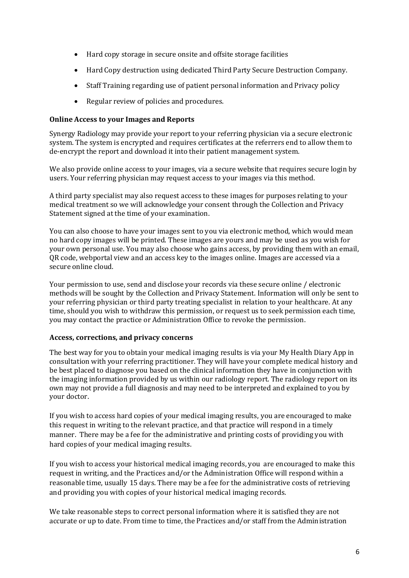- Hard copy storage in secure onsite and offsite storage facilities
- Hard Copy destruction using dedicated Third Party Secure Destruction Company.
- Staff Training regarding use of patient personal information and Privacy policy
- Regular review of policies and procedures.

### **Online Access to your Images and Reports**

Synergy Radiology may provide your report to your referring physician via a secure electronic system. The system is encrypted and requires certificates at the referrers end to allow them to de-encrypt the report and download it into their patient management system.

We also provide online access to your images, via a secure website that requires secure login by users. Your referring physician may request access to your images via this method.

A third party specialist may also request access to these images for purposes relating to your medical treatment so we will acknowledge your consent through the Collection and Privacy Statement signed at the time of your examination.

You can also choose to have your images sent to you via electronic method, which would mean no hard copy images will be printed. These images are yours and may be used as you wish for your own personal use. You may also choose who gains access, by providing them with an email, QR code, webportal view and an access key to the images online. Images are accessed via a secure online cloud.

Your permission to use, send and disclose your records via these secure online / electronic methods will be sought by the Collection and Privacy Statement. Information will only be sent to your referring physician or third party treating specialist in relation to your healthcare. At any time, should you wish to withdraw this permission, or request us to seek permission each time, you may contact the practice or Administration Office to revoke the permission.

### **Access, corrections, and privacy concerns**

The best way for you to obtain your medical imaging results is via your My Health Diary App in consultation with your referring practitioner. They will have your complete medical history and be best placed to diagnose you based on the clinical information they have in conjunction with the imaging information provided by us within our radiology report. The radiology report on its own may not provide a full diagnosis and may need to be interpreted and explained to you by your doctor.

If you wish to access hard copies of your medical imaging results, you are encouraged to make this request in writing to the relevant practice, and that practice will respond in a timely manner. There may be a fee for the administrative and printing costs of providing you with hard copies of your medical imaging results.

If you wish to access your historical medical imaging records, you are encouraged to make this request in writing, and the Practices and/or the Administration Office will respond within a reasonable time, usually 15 days. There may be a fee for the administrative costs of retrieving and providing you with copies of your historical medical imaging records.

We take reasonable steps to correct personal information where it is satisfied they are not accurate or up to date. From time to time, the Practices and/or staff from the Administration